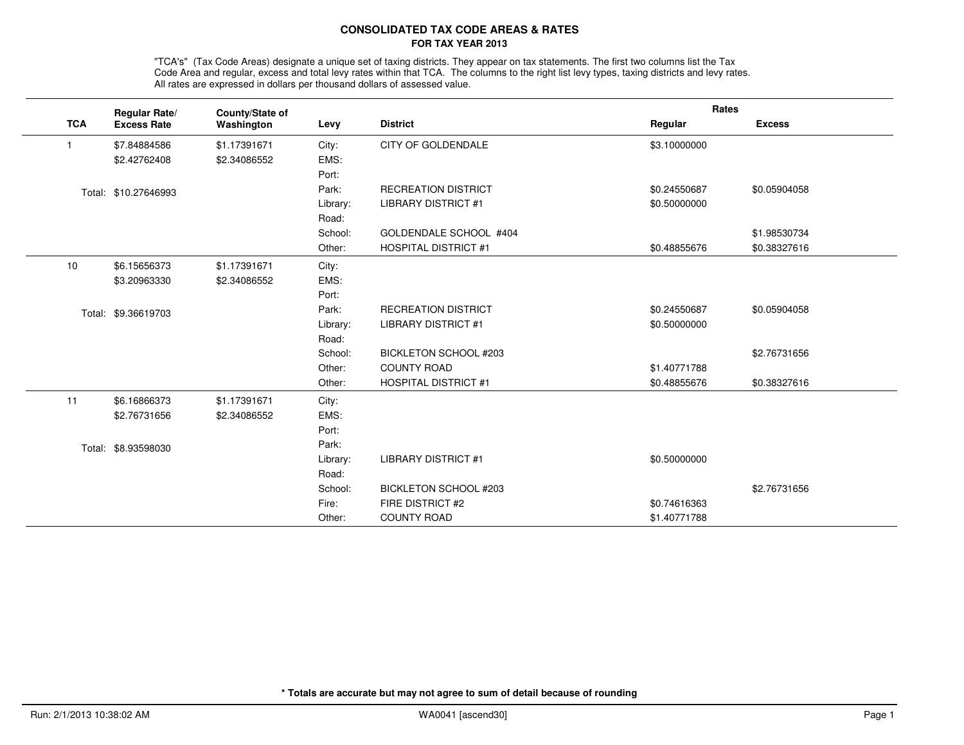## **CONSOLIDATED TAX CODE AREAS & RATESFOR TAX YEAR 2013**

"TCA's" (Tax Code Areas) designate a unique set of taxing districts. They appear on tax statements. The first two columns list the Tax<br>Code Area and regular, excess and total levy rates within that TCA. The columns to the All rates are expressed in dollars per thousand dollars of assessed value.

|            | Regular Rate/        | County/State of |          |                              | Rates        |               |
|------------|----------------------|-----------------|----------|------------------------------|--------------|---------------|
| <b>TCA</b> | <b>Excess Rate</b>   | Washington      | Levy     | <b>District</b>              | Regular      | <b>Excess</b> |
| -1         | \$7.84884586         | \$1.17391671    | City:    | <b>CITY OF GOLDENDALE</b>    | \$3.10000000 |               |
|            | \$2.42762408         | \$2.34086552    | EMS:     |                              |              |               |
|            |                      |                 | Port:    |                              |              |               |
|            | Total: \$10.27646993 |                 | Park:    | <b>RECREATION DISTRICT</b>   | \$0.24550687 | \$0.05904058  |
|            |                      |                 | Library: | <b>LIBRARY DISTRICT #1</b>   | \$0.50000000 |               |
|            |                      |                 | Road:    |                              |              |               |
|            |                      |                 | School:  | GOLDENDALE SCHOOL #404       |              | \$1.98530734  |
|            |                      |                 | Other:   | <b>HOSPITAL DISTRICT #1</b>  | \$0.48855676 | \$0.38327616  |
| 10         | \$6.15656373         | \$1.17391671    | City:    |                              |              |               |
|            | \$3.20963330         | \$2.34086552    | EMS:     |                              |              |               |
|            |                      |                 | Port:    |                              |              |               |
|            | Total: \$9.36619703  |                 | Park:    | <b>RECREATION DISTRICT</b>   | \$0.24550687 | \$0.05904058  |
|            |                      |                 | Library: | <b>LIBRARY DISTRICT #1</b>   | \$0.50000000 |               |
|            |                      |                 | Road:    |                              |              |               |
|            |                      |                 | School:  | BICKLETON SCHOOL #203        |              | \$2.76731656  |
|            |                      |                 | Other:   | <b>COUNTY ROAD</b>           | \$1.40771788 |               |
|            |                      |                 | Other:   | <b>HOSPITAL DISTRICT #1</b>  | \$0.48855676 | \$0.38327616  |
| 11         | \$6.16866373         | \$1.17391671    | City:    |                              |              |               |
|            | \$2.76731656         | \$2.34086552    | EMS:     |                              |              |               |
|            |                      |                 | Port:    |                              |              |               |
|            | Total: \$8.93598030  |                 | Park:    |                              |              |               |
|            |                      |                 | Library: | <b>LIBRARY DISTRICT #1</b>   | \$0.50000000 |               |
|            |                      |                 | Road:    |                              |              |               |
|            |                      |                 | School:  | <b>BICKLETON SCHOOL #203</b> |              | \$2.76731656  |
|            |                      |                 | Fire:    | FIRE DISTRICT #2             | \$0.74616363 |               |
|            |                      |                 | Other:   | <b>COUNTY ROAD</b>           | \$1.40771788 |               |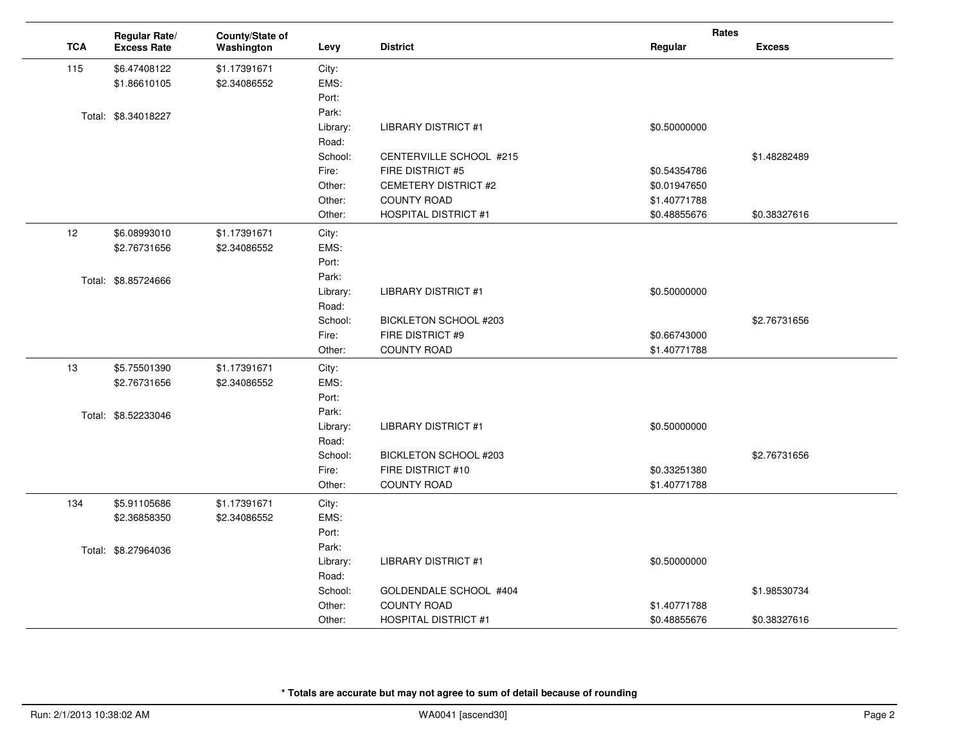|            | Regular Rate/       | County/State of |                   |                             | Rates        |               |
|------------|---------------------|-----------------|-------------------|-----------------------------|--------------|---------------|
| <b>TCA</b> | <b>Excess Rate</b>  | Washington      | Levy              | <b>District</b>             | Regular      | <b>Excess</b> |
| 115        | \$6.47408122        | \$1.17391671    | City:             |                             |              |               |
|            | \$1.86610105        | \$2.34086552    | EMS:              |                             |              |               |
|            |                     |                 | Port:             |                             |              |               |
|            | Total: \$8.34018227 |                 | Park:             |                             |              |               |
|            |                     |                 | Library:          | <b>LIBRARY DISTRICT #1</b>  | \$0.50000000 |               |
|            |                     |                 | Road:             |                             |              |               |
|            |                     |                 | School:           | CENTERVILLE SCHOOL #215     |              | \$1.48282489  |
|            |                     |                 | Fire:             | FIRE DISTRICT #5            | \$0.54354786 |               |
|            |                     |                 | Other:            | <b>CEMETERY DISTRICT #2</b> | \$0.01947650 |               |
|            |                     |                 | Other:            | <b>COUNTY ROAD</b>          | \$1.40771788 |               |
|            |                     |                 | Other:            | <b>HOSPITAL DISTRICT #1</b> | \$0.48855676 | \$0.38327616  |
| 12         | \$6.08993010        | \$1.17391671    | City:             |                             |              |               |
|            | \$2.76731656        | \$2.34086552    | EMS:              |                             |              |               |
|            |                     |                 | Port:             |                             |              |               |
|            | Total: \$8.85724666 |                 | Park:             |                             |              |               |
|            |                     |                 | Library:          | <b>LIBRARY DISTRICT #1</b>  | \$0.50000000 |               |
|            |                     |                 | Road:             |                             |              |               |
|            |                     |                 | School:           | BICKLETON SCHOOL #203       |              | \$2.76731656  |
|            |                     |                 | Fire:             | FIRE DISTRICT #9            | \$0.66743000 |               |
|            |                     |                 | Other:            | <b>COUNTY ROAD</b>          | \$1.40771788 |               |
| 13         | \$5.75501390        | \$1.17391671    | City:             |                             |              |               |
|            | \$2.76731656        | \$2.34086552    | EMS:              |                             |              |               |
|            |                     |                 | Port:             |                             |              |               |
|            | Total: \$8.52233046 |                 | Park:             |                             |              |               |
|            |                     |                 | Library:<br>Road: | <b>LIBRARY DISTRICT #1</b>  | \$0.50000000 |               |
|            |                     |                 | School:           | BICKLETON SCHOOL #203       |              | \$2.76731656  |
|            |                     |                 | Fire:             | FIRE DISTRICT #10           | \$0.33251380 |               |
|            |                     |                 | Other:            | <b>COUNTY ROAD</b>          | \$1.40771788 |               |
|            |                     |                 |                   |                             |              |               |
| 134        | \$5.91105686        | \$1.17391671    | City:             |                             |              |               |
|            | \$2.36858350        | \$2.34086552    | EMS:              |                             |              |               |
|            |                     |                 | Port:<br>Park:    |                             |              |               |
|            | Total: \$8.27964036 |                 | Library:          | <b>LIBRARY DISTRICT #1</b>  | \$0.50000000 |               |
|            |                     |                 | Road:             |                             |              |               |
|            |                     |                 | School:           | GOLDENDALE SCHOOL #404      |              | \$1.98530734  |
|            |                     |                 | Other:            | <b>COUNTY ROAD</b>          | \$1.40771788 |               |
|            |                     |                 | Other:            | <b>HOSPITAL DISTRICT #1</b> | \$0.48855676 | \$0.38327616  |
|            |                     |                 |                   |                             |              |               |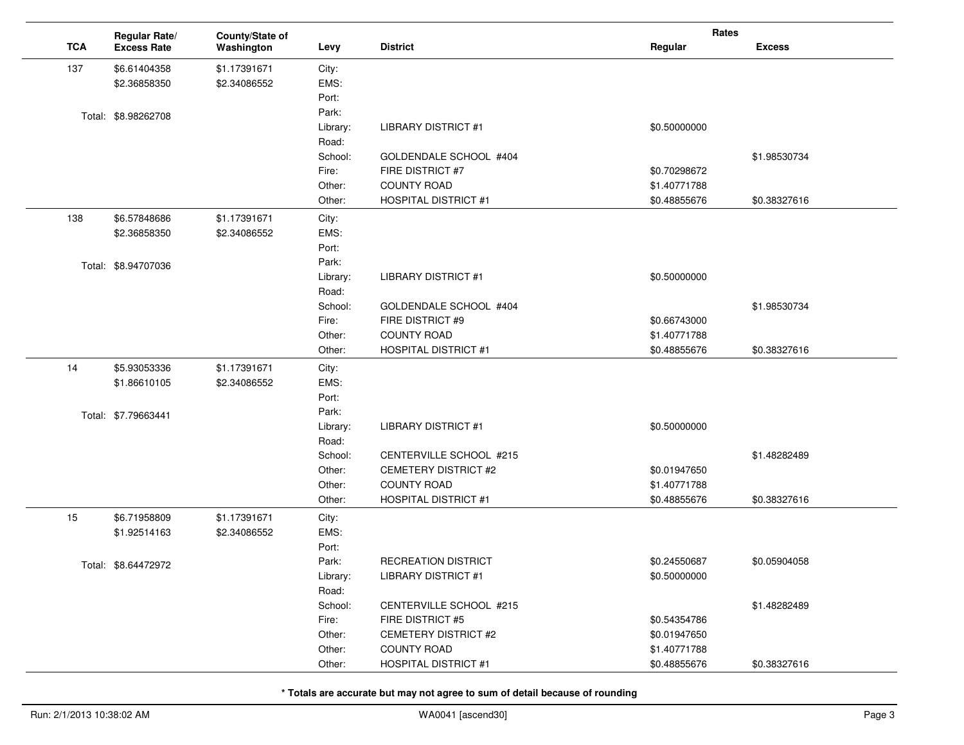|            | Regular Rate/       | County/State of |          |                             | Rates        |               |
|------------|---------------------|-----------------|----------|-----------------------------|--------------|---------------|
| <b>TCA</b> | <b>Excess Rate</b>  | Washington      | Levy     | <b>District</b>             | Regular      | <b>Excess</b> |
| 137        | \$6.61404358        | \$1.17391671    | City:    |                             |              |               |
|            | \$2.36858350        | \$2.34086552    | EMS:     |                             |              |               |
|            |                     |                 | Port:    |                             |              |               |
|            | Total: \$8.98262708 |                 | Park:    |                             |              |               |
|            |                     |                 | Library: | <b>LIBRARY DISTRICT #1</b>  | \$0.50000000 |               |
|            |                     |                 | Road:    |                             |              |               |
|            |                     |                 | School:  | GOLDENDALE SCHOOL #404      |              | \$1.98530734  |
|            |                     |                 | Fire:    | FIRE DISTRICT #7            | \$0.70298672 |               |
|            |                     |                 | Other:   | <b>COUNTY ROAD</b>          | \$1.40771788 |               |
|            |                     |                 | Other:   | <b>HOSPITAL DISTRICT #1</b> | \$0.48855676 | \$0.38327616  |
| 138        | \$6.57848686        | \$1.17391671    | City:    |                             |              |               |
|            | \$2.36858350        | \$2.34086552    | EMS:     |                             |              |               |
|            |                     |                 | Port:    |                             |              |               |
|            | Total: \$8.94707036 |                 | Park:    |                             |              |               |
|            |                     |                 | Library: | <b>LIBRARY DISTRICT #1</b>  | \$0.50000000 |               |
|            |                     |                 | Road:    |                             |              |               |
|            |                     |                 | School:  | GOLDENDALE SCHOOL #404      |              | \$1.98530734  |
|            |                     |                 | Fire:    | FIRE DISTRICT #9            | \$0.66743000 |               |
|            |                     |                 | Other:   | <b>COUNTY ROAD</b>          | \$1.40771788 |               |
|            |                     |                 | Other:   | <b>HOSPITAL DISTRICT #1</b> | \$0.48855676 | \$0.38327616  |
| 14         | \$5.93053336        | \$1.17391671    | City:    |                             |              |               |
|            | \$1.86610105        | \$2.34086552    | EMS:     |                             |              |               |
|            |                     |                 | Port:    |                             |              |               |
|            | Total: \$7.79663441 |                 | Park:    |                             |              |               |
|            |                     |                 | Library: | <b>LIBRARY DISTRICT #1</b>  | \$0.50000000 |               |
|            |                     |                 | Road:    |                             |              |               |
|            |                     |                 | School:  | CENTERVILLE SCHOOL #215     |              | \$1.48282489  |
|            |                     |                 | Other:   | CEMETERY DISTRICT #2        | \$0.01947650 |               |
|            |                     |                 | Other:   | <b>COUNTY ROAD</b>          | \$1.40771788 |               |
|            |                     |                 | Other:   | <b>HOSPITAL DISTRICT #1</b> | \$0.48855676 | \$0.38327616  |
| 15         | \$6.71958809        | \$1.17391671    | City:    |                             |              |               |
|            | \$1.92514163        | \$2.34086552    | EMS:     |                             |              |               |
|            |                     |                 | Port:    |                             |              |               |
|            | Total: \$8.64472972 |                 | Park:    | <b>RECREATION DISTRICT</b>  | \$0.24550687 | \$0.05904058  |
|            |                     |                 | Library: | <b>LIBRARY DISTRICT #1</b>  | \$0.50000000 |               |
|            |                     |                 | Road:    |                             |              |               |
|            |                     |                 | School:  | CENTERVILLE SCHOOL #215     |              | \$1.48282489  |
|            |                     |                 | Fire:    | FIRE DISTRICT #5            | \$0.54354786 |               |
|            |                     |                 | Other:   | CEMETERY DISTRICT #2        | \$0.01947650 |               |
|            |                     |                 | Other:   | <b>COUNTY ROAD</b>          | \$1.40771788 |               |
|            |                     |                 | Other:   | <b>HOSPITAL DISTRICT #1</b> | \$0.48855676 | \$0.38327616  |

 $\sim$ 

 $\overline{a}$ 

 $\overline{\phantom{a}}$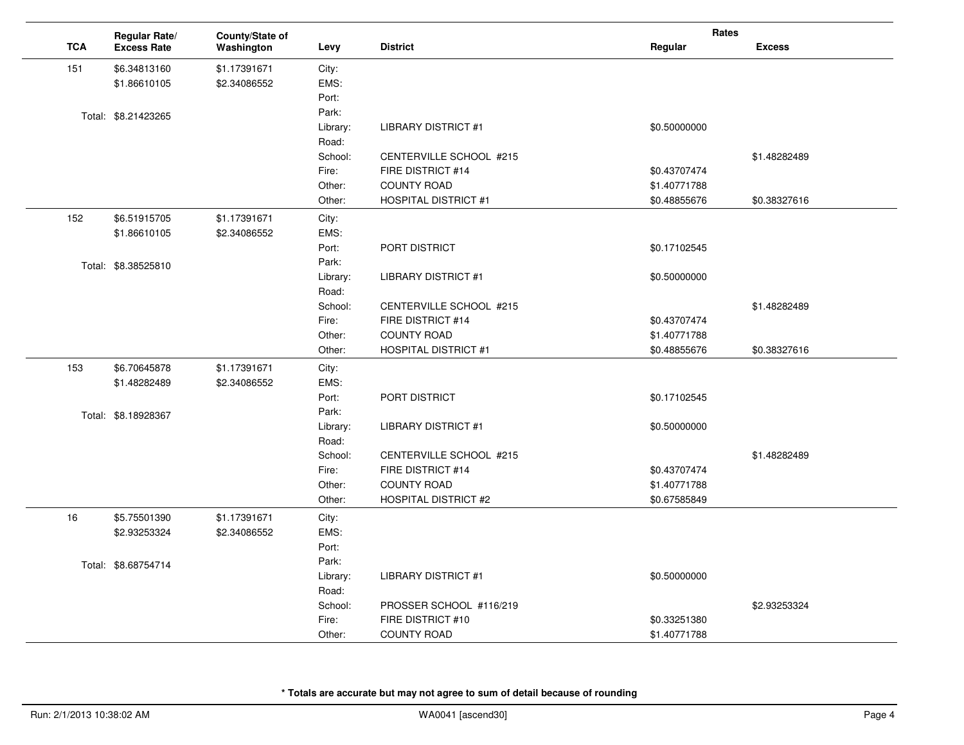|            | Regular Rate/       | County/State of |          |                             | Rates        |               |
|------------|---------------------|-----------------|----------|-----------------------------|--------------|---------------|
| <b>TCA</b> | <b>Excess Rate</b>  | Washington      | Levy     | <b>District</b>             | Regular      | <b>Excess</b> |
| 151        | \$6.34813160        | \$1.17391671    | City:    |                             |              |               |
|            | \$1.86610105        | \$2.34086552    | EMS:     |                             |              |               |
|            |                     |                 | Port:    |                             |              |               |
|            | Total: \$8.21423265 |                 | Park:    |                             |              |               |
|            |                     |                 | Library: | <b>LIBRARY DISTRICT #1</b>  | \$0.50000000 |               |
|            |                     |                 | Road:    |                             |              |               |
|            |                     |                 | School:  | CENTERVILLE SCHOOL #215     |              | \$1.48282489  |
|            |                     |                 | Fire:    | FIRE DISTRICT #14           | \$0.43707474 |               |
|            |                     |                 | Other:   | <b>COUNTY ROAD</b>          | \$1.40771788 |               |
|            |                     |                 | Other:   | <b>HOSPITAL DISTRICT #1</b> | \$0.48855676 | \$0.38327616  |
| 152        | \$6.51915705        | \$1.17391671    | City:    |                             |              |               |
|            | \$1.86610105        | \$2.34086552    | EMS:     |                             |              |               |
|            |                     |                 | Port:    | PORT DISTRICT               | \$0.17102545 |               |
|            | Total: \$8.38525810 |                 | Park:    |                             |              |               |
|            |                     |                 | Library: | <b>LIBRARY DISTRICT #1</b>  | \$0.50000000 |               |
|            |                     |                 | Road:    |                             |              |               |
|            |                     |                 | School:  | CENTERVILLE SCHOOL #215     |              | \$1.48282489  |
|            |                     |                 | Fire:    | FIRE DISTRICT #14           | \$0.43707474 |               |
|            |                     |                 | Other:   | <b>COUNTY ROAD</b>          | \$1.40771788 |               |
|            |                     |                 | Other:   | <b>HOSPITAL DISTRICT #1</b> | \$0.48855676 | \$0.38327616  |
| 153        | \$6.70645878        | \$1.17391671    | City:    |                             |              |               |
|            | \$1.48282489        | \$2.34086552    | EMS:     |                             |              |               |
|            |                     |                 | Port:    | PORT DISTRICT               | \$0.17102545 |               |
|            | Total: \$8.18928367 |                 | Park:    |                             |              |               |
|            |                     |                 | Library: | <b>LIBRARY DISTRICT #1</b>  | \$0.50000000 |               |
|            |                     |                 | Road:    |                             |              |               |
|            |                     |                 | School:  | CENTERVILLE SCHOOL #215     |              | \$1.48282489  |
|            |                     |                 | Fire:    | FIRE DISTRICT #14           | \$0.43707474 |               |
|            |                     |                 | Other:   | <b>COUNTY ROAD</b>          | \$1.40771788 |               |
|            |                     |                 | Other:   | <b>HOSPITAL DISTRICT #2</b> | \$0.67585849 |               |
| 16         | \$5.75501390        | \$1.17391671    | City:    |                             |              |               |
|            | \$2.93253324        | \$2.34086552    | EMS:     |                             |              |               |
|            |                     |                 | Port:    |                             |              |               |
|            | Total: \$8.68754714 |                 | Park:    |                             |              |               |
|            |                     |                 | Library: | <b>LIBRARY DISTRICT #1</b>  | \$0.50000000 |               |
|            |                     |                 | Road:    |                             |              |               |
|            |                     |                 | School:  | PROSSER SCHOOL #116/219     |              | \$2.93253324  |
|            |                     |                 | Fire:    | FIRE DISTRICT #10           | \$0.33251380 |               |
|            |                     |                 | Other:   | <b>COUNTY ROAD</b>          | \$1.40771788 |               |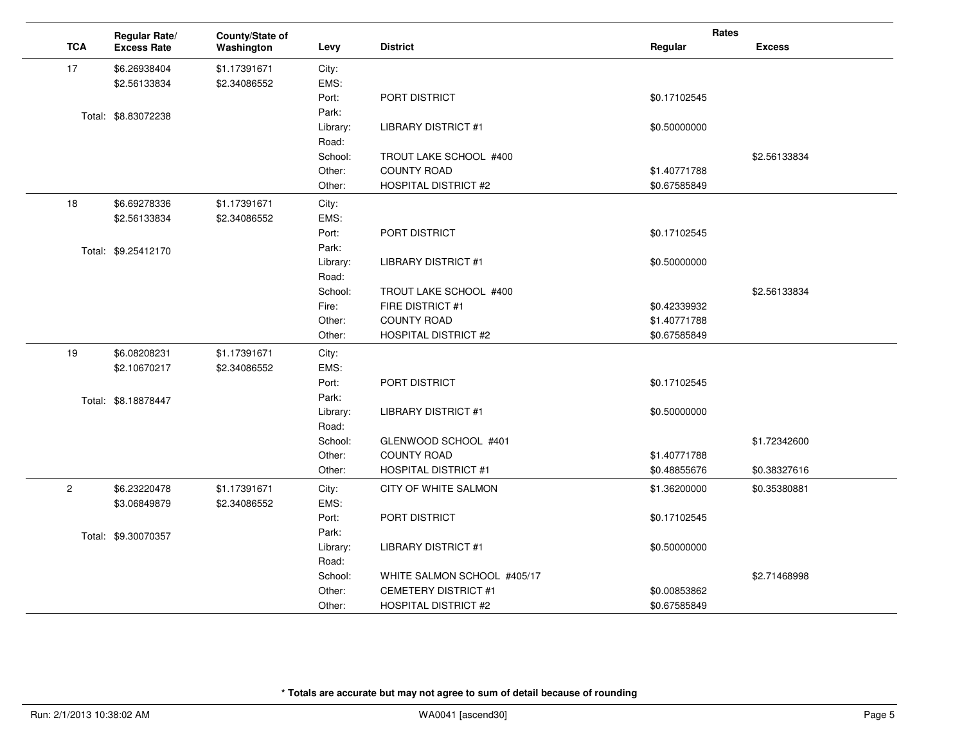|              | Regular Rate/       | County/State of |                  |                             | Rates        |               |
|--------------|---------------------|-----------------|------------------|-----------------------------|--------------|---------------|
| <b>TCA</b>   | <b>Excess Rate</b>  | Washington      | Levy             | <b>District</b>             | Regular      | <b>Excess</b> |
| 17           | \$6.26938404        | \$1.17391671    | City:            |                             |              |               |
|              | \$2.56133834        | \$2.34086552    | EMS:             |                             |              |               |
|              |                     |                 | Port:            | PORT DISTRICT               | \$0.17102545 |               |
|              | Total: \$8.83072238 |                 | Park:            |                             |              |               |
|              |                     |                 | Library:         | <b>LIBRARY DISTRICT #1</b>  | \$0.50000000 |               |
|              |                     |                 | Road:            |                             |              |               |
|              |                     |                 | School:          | TROUT LAKE SCHOOL #400      |              | \$2.56133834  |
|              |                     |                 | Other:           | <b>COUNTY ROAD</b>          | \$1.40771788 |               |
|              |                     |                 | Other:           | <b>HOSPITAL DISTRICT #2</b> | \$0.67585849 |               |
| 18           | \$6.69278336        | \$1.17391671    | City:            |                             |              |               |
|              | \$2.56133834        | \$2.34086552    | EMS:             |                             |              |               |
|              |                     |                 | Port:            | PORT DISTRICT               | \$0.17102545 |               |
|              | Total: \$9.25412170 |                 | Park:            |                             |              |               |
|              |                     |                 | Library:         | <b>LIBRARY DISTRICT #1</b>  | \$0.50000000 |               |
|              |                     |                 | Road:            |                             |              |               |
|              |                     |                 | School:          | TROUT LAKE SCHOOL #400      |              | \$2.56133834  |
|              |                     |                 | Fire:            | FIRE DISTRICT #1            | \$0.42339932 |               |
|              |                     |                 | Other:           | <b>COUNTY ROAD</b>          | \$1.40771788 |               |
|              |                     |                 | Other:           | <b>HOSPITAL DISTRICT #2</b> | \$0.67585849 |               |
| 19           | \$6.08208231        | \$1.17391671    | City:            |                             |              |               |
|              | \$2.10670217        | \$2.34086552    | EMS:             |                             |              |               |
|              |                     |                 | Port:            | PORT DISTRICT               | \$0.17102545 |               |
|              | Total: \$8.18878447 |                 | Park:            |                             |              |               |
|              |                     |                 | Library:         | <b>LIBRARY DISTRICT #1</b>  | \$0.50000000 |               |
|              |                     |                 | Road:            |                             |              |               |
|              |                     |                 | School:          | GLENWOOD SCHOOL #401        |              | \$1.72342600  |
|              |                     |                 | Other:           | <b>COUNTY ROAD</b>          | \$1.40771788 |               |
|              |                     |                 | Other:           | <b>HOSPITAL DISTRICT #1</b> | \$0.48855676 | \$0.38327616  |
| $\mathbf{2}$ | \$6.23220478        | \$1.17391671    | City:            | CITY OF WHITE SALMON        | \$1.36200000 | \$0.35380881  |
|              | \$3.06849879        | \$2.34086552    | EMS:             |                             |              |               |
|              |                     |                 | Port:            | PORT DISTRICT               | \$0.17102545 |               |
|              | Total: \$9.30070357 |                 | Park:            |                             |              |               |
|              |                     |                 | Library:         | <b>LIBRARY DISTRICT #1</b>  | \$0.50000000 |               |
|              |                     |                 | Road:<br>School: | WHITE SALMON SCHOOL #405/17 |              |               |
|              |                     |                 | Other:           | <b>CEMETERY DISTRICT #1</b> | \$0.00853862 | \$2.71468998  |
|              |                     |                 | Other:           | <b>HOSPITAL DISTRICT #2</b> | \$0.67585849 |               |
|              |                     |                 |                  |                             |              |               |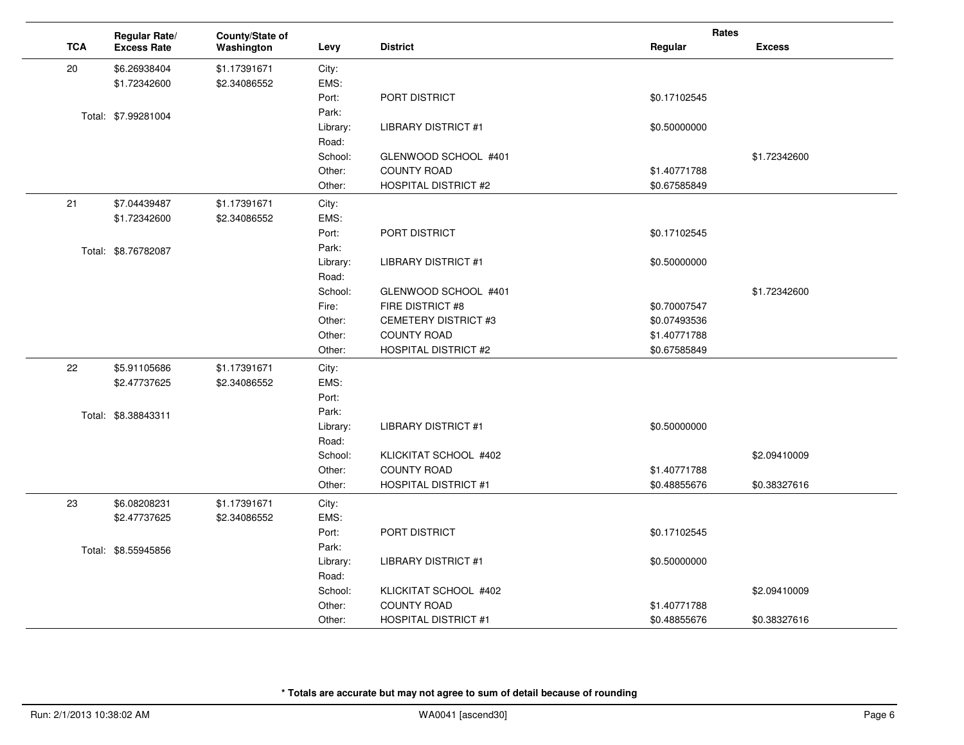|            | Regular Rate/       | County/State of |                   |                                                   | Rates        |               |
|------------|---------------------|-----------------|-------------------|---------------------------------------------------|--------------|---------------|
| <b>TCA</b> | <b>Excess Rate</b>  | Washington      | Levy              | <b>District</b>                                   | Regular      | <b>Excess</b> |
| 20         | \$6.26938404        | \$1.17391671    | City:             |                                                   |              |               |
|            | \$1.72342600        | \$2.34086552    | EMS:              |                                                   |              |               |
|            |                     |                 | Port:             | PORT DISTRICT                                     | \$0.17102545 |               |
|            | Total: \$7.99281004 |                 | Park:             |                                                   |              |               |
|            |                     |                 | Library:          | <b>LIBRARY DISTRICT #1</b>                        | \$0.50000000 |               |
|            |                     |                 | Road:             |                                                   |              |               |
|            |                     |                 | School:           | GLENWOOD SCHOOL #401                              |              | \$1.72342600  |
|            |                     |                 | Other:            | COUNTY ROAD                                       | \$1.40771788 |               |
|            |                     |                 | Other:            | <b>HOSPITAL DISTRICT #2</b>                       | \$0.67585849 |               |
| 21         | \$7.04439487        | \$1.17391671    | City:             |                                                   |              |               |
|            | \$1.72342600        | \$2.34086552    | EMS:              |                                                   |              |               |
|            |                     |                 | Port:             | PORT DISTRICT                                     | \$0.17102545 |               |
|            | Total: \$8.76782087 |                 | Park:             |                                                   |              |               |
|            |                     |                 | Library:          | LIBRARY DISTRICT #1                               | \$0.50000000 |               |
|            |                     |                 | Road:             |                                                   |              |               |
|            |                     |                 | School:           | GLENWOOD SCHOOL #401                              |              | \$1.72342600  |
|            |                     |                 | Fire:             | FIRE DISTRICT #8                                  | \$0.70007547 |               |
|            |                     |                 | Other:            | <b>CEMETERY DISTRICT #3</b>                       | \$0.07493536 |               |
|            |                     |                 | Other:            | <b>COUNTY ROAD</b>                                | \$1.40771788 |               |
|            |                     |                 | Other:            | <b>HOSPITAL DISTRICT #2</b>                       | \$0.67585849 |               |
| 22         | \$5.91105686        | \$1.17391671    | City:             |                                                   |              |               |
|            | \$2.47737625        | \$2.34086552    | EMS:              |                                                   |              |               |
|            |                     |                 | Port:             |                                                   |              |               |
|            | Total: \$8.38843311 |                 | Park:             |                                                   |              |               |
|            |                     |                 | Library:          | <b>LIBRARY DISTRICT #1</b>                        | \$0.50000000 |               |
|            |                     |                 | Road:             |                                                   |              |               |
|            |                     |                 | School:           | KLICKITAT SCHOOL #402                             |              | \$2.09410009  |
|            |                     |                 | Other:            | <b>COUNTY ROAD</b><br><b>HOSPITAL DISTRICT #1</b> | \$1.40771788 |               |
|            |                     |                 | Other:            |                                                   | \$0.48855676 | \$0.38327616  |
| 23         | \$6.08208231        | \$1.17391671    | City:             |                                                   |              |               |
|            | \$2.47737625        | \$2.34086552    | EMS:              |                                                   |              |               |
|            |                     |                 | Port:             | PORT DISTRICT                                     | \$0.17102545 |               |
|            | Total: \$8.55945856 |                 | Park:             |                                                   |              |               |
|            |                     |                 | Library:          | <b>LIBRARY DISTRICT #1</b>                        | \$0.50000000 |               |
|            |                     |                 | Road:             |                                                   |              |               |
|            |                     |                 | School:<br>Other: | KLICKITAT SCHOOL #402<br><b>COUNTY ROAD</b>       | \$1.40771788 | \$2.09410009  |
|            |                     |                 |                   | <b>HOSPITAL DISTRICT #1</b>                       | \$0.48855676 | \$0.38327616  |
|            |                     |                 | Other:            |                                                   |              |               |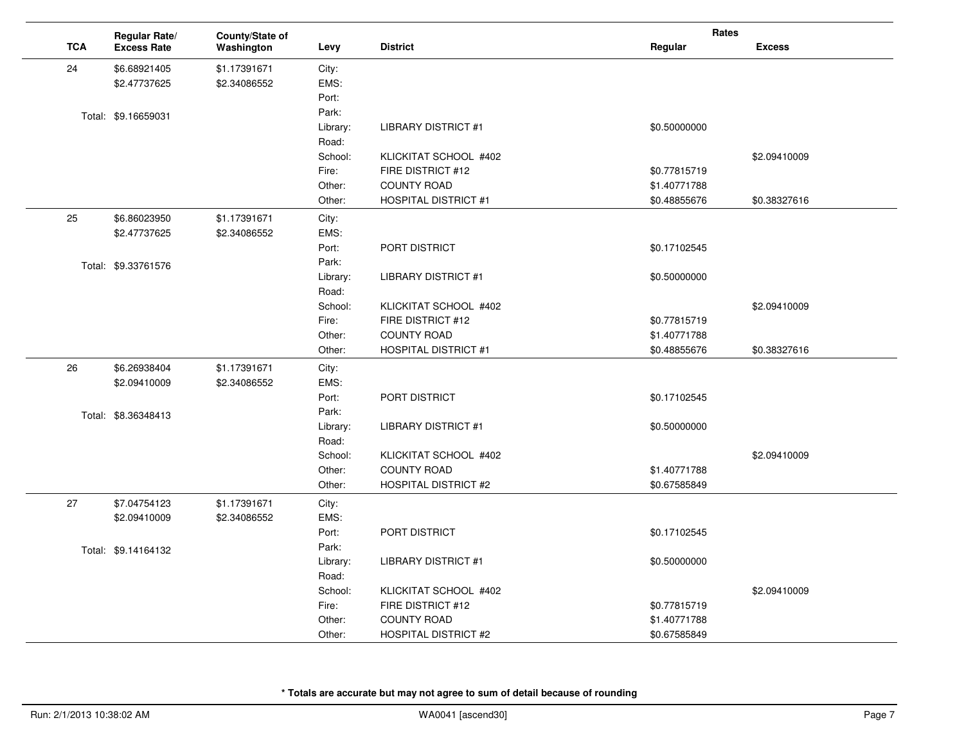|    |            | Regular Rate/       | County/State of |          |                             | Rates        |               |
|----|------------|---------------------|-----------------|----------|-----------------------------|--------------|---------------|
|    | <b>TCA</b> | <b>Excess Rate</b>  | Washington      | Levy     | <b>District</b>             | Regular      | <b>Excess</b> |
| 24 |            | \$6.68921405        | \$1.17391671    | City:    |                             |              |               |
|    |            | \$2.47737625        | \$2.34086552    | EMS:     |                             |              |               |
|    |            |                     |                 | Port:    |                             |              |               |
|    |            | Total: \$9.16659031 |                 | Park:    |                             |              |               |
|    |            |                     |                 | Library: | <b>LIBRARY DISTRICT #1</b>  | \$0.50000000 |               |
|    |            |                     |                 | Road:    |                             |              |               |
|    |            |                     |                 | School:  | KLICKITAT SCHOOL #402       |              | \$2.09410009  |
|    |            |                     |                 | Fire:    | FIRE DISTRICT #12           | \$0.77815719 |               |
|    |            |                     |                 | Other:   | <b>COUNTY ROAD</b>          | \$1.40771788 |               |
|    |            |                     |                 | Other:   | <b>HOSPITAL DISTRICT #1</b> | \$0.48855676 | \$0.38327616  |
| 25 |            | \$6.86023950        | \$1.17391671    | City:    |                             |              |               |
|    |            | \$2.47737625        | \$2.34086552    | EMS:     |                             |              |               |
|    |            |                     |                 | Port:    | PORT DISTRICT               | \$0.17102545 |               |
|    |            | Total: \$9.33761576 |                 | Park:    |                             |              |               |
|    |            |                     |                 | Library: | <b>LIBRARY DISTRICT #1</b>  | \$0.50000000 |               |
|    |            |                     |                 | Road:    |                             |              |               |
|    |            |                     |                 | School:  | KLICKITAT SCHOOL #402       |              | \$2.09410009  |
|    |            |                     |                 | Fire:    | FIRE DISTRICT #12           | \$0.77815719 |               |
|    |            |                     |                 | Other:   | <b>COUNTY ROAD</b>          | \$1.40771788 |               |
|    |            |                     |                 | Other:   | <b>HOSPITAL DISTRICT #1</b> | \$0.48855676 | \$0.38327616  |
| 26 |            | \$6.26938404        | \$1.17391671    | City:    |                             |              |               |
|    |            | \$2.09410009        | \$2.34086552    | EMS:     |                             |              |               |
|    |            |                     |                 | Port:    | PORT DISTRICT               | \$0.17102545 |               |
|    |            | Total: \$8.36348413 |                 | Park:    |                             |              |               |
|    |            |                     |                 | Library: | <b>LIBRARY DISTRICT #1</b>  | \$0.50000000 |               |
|    |            |                     |                 | Road:    |                             |              |               |
|    |            |                     |                 | School:  | KLICKITAT SCHOOL #402       |              | \$2.09410009  |
|    |            |                     |                 | Other:   | <b>COUNTY ROAD</b>          | \$1.40771788 |               |
|    |            |                     |                 | Other:   | <b>HOSPITAL DISTRICT #2</b> | \$0.67585849 |               |
| 27 |            | \$7.04754123        | \$1.17391671    | City:    |                             |              |               |
|    |            | \$2.09410009        | \$2.34086552    | EMS:     |                             |              |               |
|    |            |                     |                 | Port:    | PORT DISTRICT               | \$0.17102545 |               |
|    |            | Total: \$9.14164132 |                 | Park:    |                             |              |               |
|    |            |                     |                 | Library: | <b>LIBRARY DISTRICT #1</b>  | \$0.50000000 |               |
|    |            |                     |                 | Road:    |                             |              |               |
|    |            |                     |                 | School:  | KLICKITAT SCHOOL #402       |              | \$2.09410009  |
|    |            |                     |                 | Fire:    | FIRE DISTRICT #12           | \$0.77815719 |               |
|    |            |                     |                 | Other:   | <b>COUNTY ROAD</b>          | \$1.40771788 |               |
|    |            |                     |                 | Other:   | <b>HOSPITAL DISTRICT #2</b> | \$0.67585849 |               |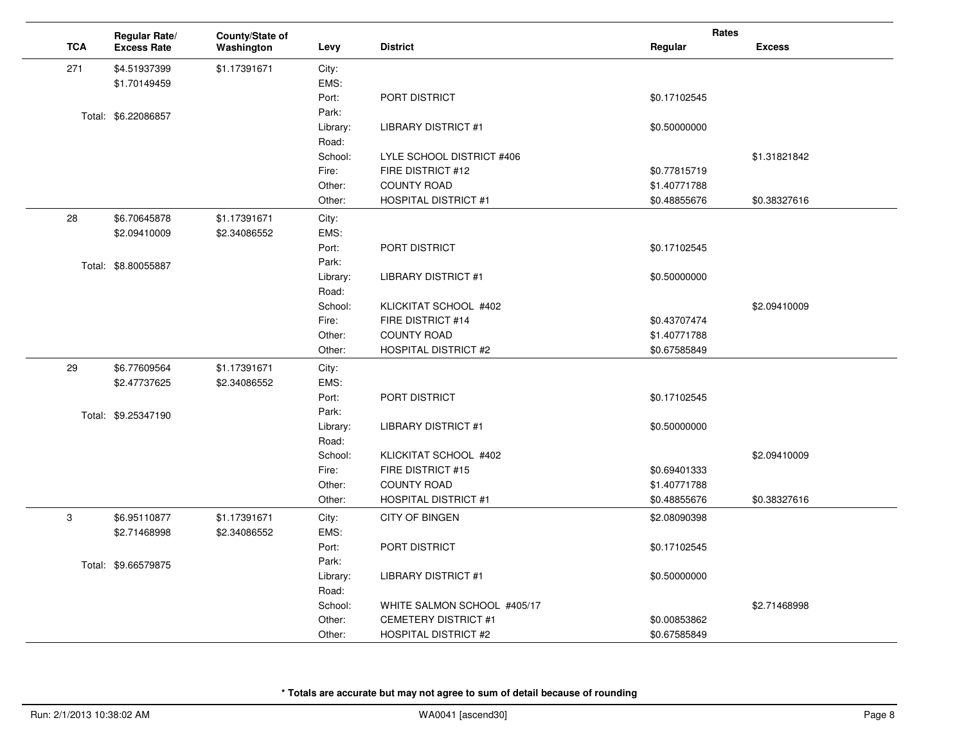|            | Regular Rate/       | County/State of |          |                             | Rates        |               |
|------------|---------------------|-----------------|----------|-----------------------------|--------------|---------------|
| <b>TCA</b> | <b>Excess Rate</b>  | Washington      | Levy     | <b>District</b>             | Regular      | <b>Excess</b> |
| 271        | \$4.51937399        | \$1.17391671    | City:    |                             |              |               |
|            | \$1.70149459        |                 | EMS:     |                             |              |               |
|            |                     |                 | Port:    | PORT DISTRICT               | \$0.17102545 |               |
|            | Total: \$6.22086857 |                 | Park:    |                             |              |               |
|            |                     |                 | Library: | <b>LIBRARY DISTRICT #1</b>  | \$0.50000000 |               |
|            |                     |                 | Road:    |                             |              |               |
|            |                     |                 | School:  | LYLE SCHOOL DISTRICT #406   |              | \$1.31821842  |
|            |                     |                 | Fire:    | FIRE DISTRICT #12           | \$0.77815719 |               |
|            |                     |                 | Other:   | <b>COUNTY ROAD</b>          | \$1.40771788 |               |
|            |                     |                 | Other:   | <b>HOSPITAL DISTRICT #1</b> | \$0.48855676 | \$0.38327616  |
| 28         | \$6.70645878        | \$1.17391671    | City:    |                             |              |               |
|            | \$2.09410009        | \$2.34086552    | EMS:     |                             |              |               |
|            |                     |                 | Port:    | PORT DISTRICT               | \$0.17102545 |               |
|            | Total: \$8.80055887 |                 | Park:    |                             |              |               |
|            |                     |                 | Library: | <b>LIBRARY DISTRICT #1</b>  | \$0.50000000 |               |
|            |                     |                 | Road:    |                             |              |               |
|            |                     |                 | School:  | KLICKITAT SCHOOL #402       |              | \$2.09410009  |
|            |                     |                 | Fire:    | FIRE DISTRICT #14           | \$0.43707474 |               |
|            |                     |                 | Other:   | <b>COUNTY ROAD</b>          | \$1.40771788 |               |
|            |                     |                 | Other:   | <b>HOSPITAL DISTRICT #2</b> | \$0.67585849 |               |
| 29         | \$6.77609564        | \$1.17391671    | City:    |                             |              |               |
|            | \$2.47737625        | \$2.34086552    | EMS:     |                             |              |               |
|            |                     |                 | Port:    | PORT DISTRICT               | \$0.17102545 |               |
|            | Total: \$9.25347190 |                 | Park:    |                             |              |               |
|            |                     |                 | Library: | <b>LIBRARY DISTRICT #1</b>  | \$0.50000000 |               |
|            |                     |                 | Road:    |                             |              |               |
|            |                     |                 | School:  | KLICKITAT SCHOOL #402       |              | \$2.09410009  |
|            |                     |                 | Fire:    | FIRE DISTRICT #15           | \$0.69401333 |               |
|            |                     |                 | Other:   | <b>COUNTY ROAD</b>          | \$1.40771788 |               |
|            |                     |                 | Other:   | <b>HOSPITAL DISTRICT #1</b> | \$0.48855676 | \$0.38327616  |
| 3          | \$6.95110877        | \$1.17391671    | City:    | <b>CITY OF BINGEN</b>       | \$2.08090398 |               |
|            | \$2.71468998        | \$2.34086552    | EMS:     |                             |              |               |
|            |                     |                 | Port:    | PORT DISTRICT               | \$0.17102545 |               |
|            | Total: \$9.66579875 |                 | Park:    |                             |              |               |
|            |                     |                 | Library: | <b>LIBRARY DISTRICT #1</b>  | \$0.50000000 |               |
|            |                     |                 | Road:    |                             |              |               |
|            |                     |                 | School:  | WHITE SALMON SCHOOL #405/17 |              | \$2.71468998  |
|            |                     |                 | Other:   | <b>CEMETERY DISTRICT #1</b> | \$0.00853862 |               |
|            |                     |                 | Other:   | <b>HOSPITAL DISTRICT #2</b> | \$0.67585849 |               |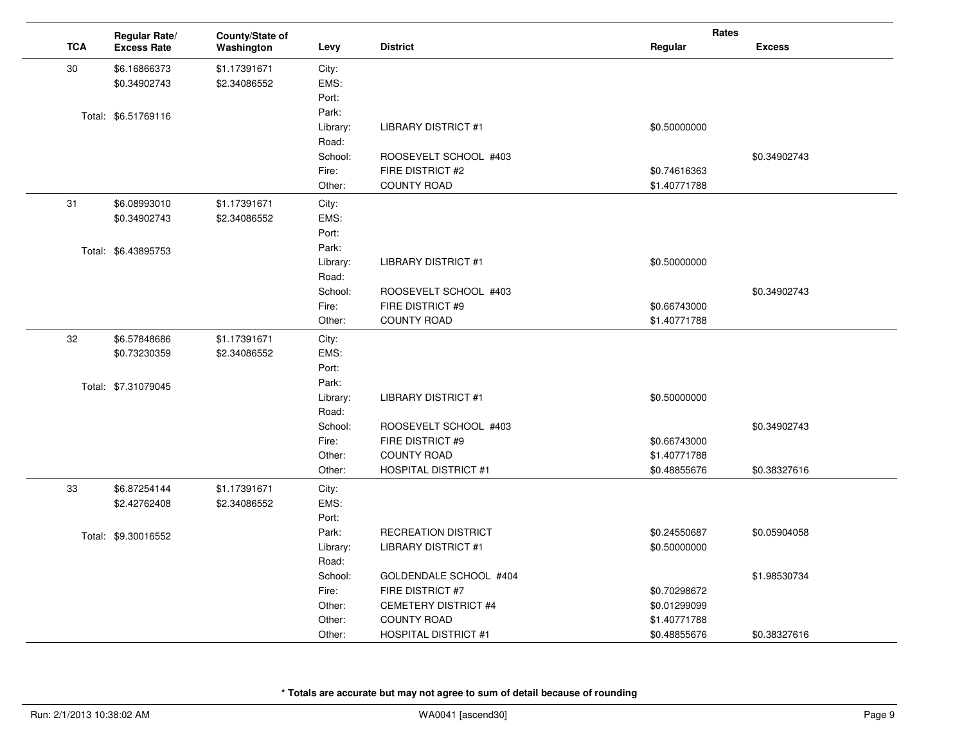|            | Regular Rate/       | County/State of |          |                             | Rates        |               |
|------------|---------------------|-----------------|----------|-----------------------------|--------------|---------------|
| <b>TCA</b> | <b>Excess Rate</b>  | Washington      | Levy     | <b>District</b>             | Regular      | <b>Excess</b> |
| 30         | \$6.16866373        | \$1.17391671    | City:    |                             |              |               |
|            | \$0.34902743        | \$2.34086552    | EMS:     |                             |              |               |
|            |                     |                 | Port:    |                             |              |               |
|            | Total: \$6.51769116 |                 | Park:    |                             |              |               |
|            |                     |                 | Library: | <b>LIBRARY DISTRICT #1</b>  | \$0.50000000 |               |
|            |                     |                 | Road:    |                             |              |               |
|            |                     |                 | School:  | ROOSEVELT SCHOOL #403       |              | \$0.34902743  |
|            |                     |                 | Fire:    | FIRE DISTRICT #2            | \$0.74616363 |               |
|            |                     |                 | Other:   | <b>COUNTY ROAD</b>          | \$1.40771788 |               |
| 31         | \$6.08993010        | \$1.17391671    | City:    |                             |              |               |
|            | \$0.34902743        | \$2.34086552    | EMS:     |                             |              |               |
|            |                     |                 | Port:    |                             |              |               |
|            | Total: \$6.43895753 |                 | Park:    |                             |              |               |
|            |                     |                 | Library: | <b>LIBRARY DISTRICT #1</b>  | \$0.50000000 |               |
|            |                     |                 | Road:    |                             |              |               |
|            |                     |                 | School:  | ROOSEVELT SCHOOL #403       |              | \$0.34902743  |
|            |                     |                 | Fire:    | FIRE DISTRICT #9            | \$0.66743000 |               |
|            |                     |                 | Other:   | <b>COUNTY ROAD</b>          | \$1.40771788 |               |
| 32         | \$6.57848686        | \$1.17391671    | City:    |                             |              |               |
|            | \$0.73230359        | \$2.34086552    | EMS:     |                             |              |               |
|            |                     |                 | Port:    |                             |              |               |
|            | Total: \$7.31079045 |                 | Park:    |                             |              |               |
|            |                     |                 | Library: | <b>LIBRARY DISTRICT #1</b>  | \$0.50000000 |               |
|            |                     |                 | Road:    |                             |              |               |
|            |                     |                 | School:  | ROOSEVELT SCHOOL #403       |              | \$0.34902743  |
|            |                     |                 | Fire:    | FIRE DISTRICT #9            | \$0.66743000 |               |
|            |                     |                 | Other:   | <b>COUNTY ROAD</b>          | \$1.40771788 |               |
|            |                     |                 | Other:   | <b>HOSPITAL DISTRICT #1</b> | \$0.48855676 | \$0.38327616  |
| 33         | \$6.87254144        | \$1.17391671    | City:    |                             |              |               |
|            | \$2.42762408        | \$2.34086552    | EMS:     |                             |              |               |
|            |                     |                 | Port:    |                             |              |               |
|            | Total: \$9.30016552 |                 | Park:    | <b>RECREATION DISTRICT</b>  | \$0.24550687 | \$0.05904058  |
|            |                     |                 | Library: | <b>LIBRARY DISTRICT #1</b>  | \$0.50000000 |               |
|            |                     |                 | Road:    |                             |              |               |
|            |                     |                 | School:  | GOLDENDALE SCHOOL #404      |              | \$1.98530734  |
|            |                     |                 | Fire:    | FIRE DISTRICT #7            | \$0.70298672 |               |
|            |                     |                 | Other:   | <b>CEMETERY DISTRICT #4</b> | \$0.01299099 |               |
|            |                     |                 | Other:   | <b>COUNTY ROAD</b>          | \$1.40771788 |               |
|            |                     |                 | Other:   | <b>HOSPITAL DISTRICT #1</b> | \$0.48855676 | \$0.38327616  |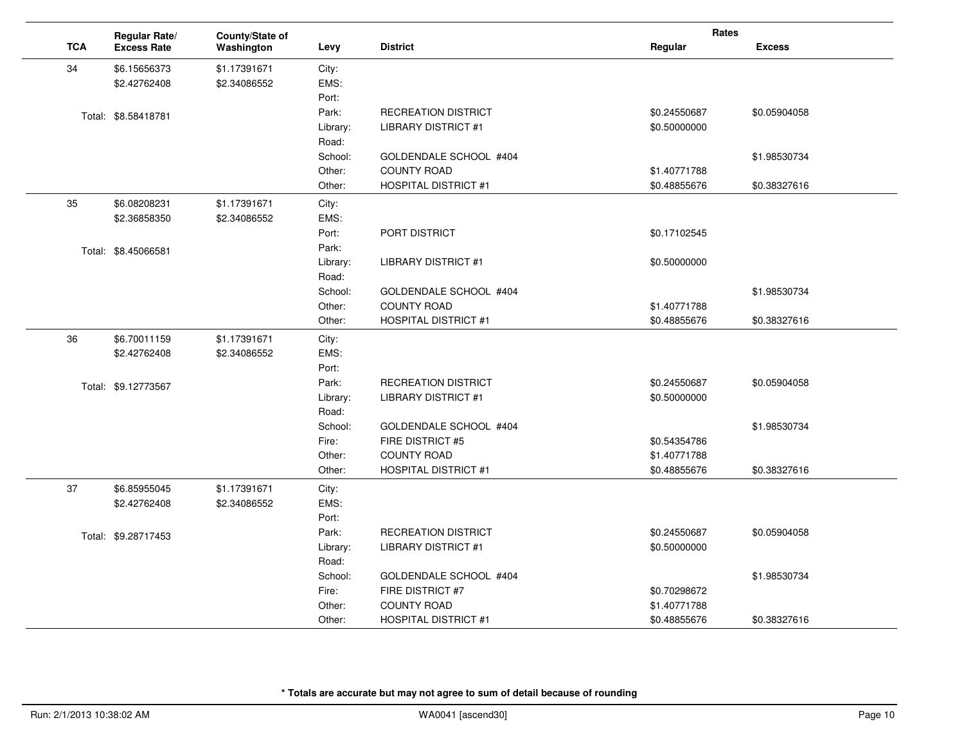|            | Regular Rate/       | County/State of |          |                             | Rates        |               |
|------------|---------------------|-----------------|----------|-----------------------------|--------------|---------------|
| <b>TCA</b> | <b>Excess Rate</b>  | Washington      | Levy     | <b>District</b>             | Regular      | <b>Excess</b> |
| 34         | \$6.15656373        | \$1.17391671    | City:    |                             |              |               |
|            | \$2.42762408        | \$2.34086552    | EMS:     |                             |              |               |
|            |                     |                 | Port:    |                             |              |               |
|            | Total: \$8.58418781 |                 | Park:    | <b>RECREATION DISTRICT</b>  | \$0.24550687 | \$0.05904058  |
|            |                     |                 | Library: | <b>LIBRARY DISTRICT #1</b>  | \$0.50000000 |               |
|            |                     |                 | Road:    |                             |              |               |
|            |                     |                 | School:  | GOLDENDALE SCHOOL #404      |              | \$1.98530734  |
|            |                     |                 | Other:   | <b>COUNTY ROAD</b>          | \$1.40771788 |               |
|            |                     |                 | Other:   | <b>HOSPITAL DISTRICT #1</b> | \$0.48855676 | \$0.38327616  |
| 35         | \$6.08208231        | \$1.17391671    | City:    |                             |              |               |
|            | \$2.36858350        | \$2.34086552    | EMS:     |                             |              |               |
|            |                     |                 | Port:    | PORT DISTRICT               | \$0.17102545 |               |
|            | Total: \$8.45066581 |                 | Park:    |                             |              |               |
|            |                     |                 | Library: | <b>LIBRARY DISTRICT #1</b>  | \$0.50000000 |               |
|            |                     |                 | Road:    |                             |              |               |
|            |                     |                 | School:  | GOLDENDALE SCHOOL #404      |              | \$1.98530734  |
|            |                     |                 | Other:   | <b>COUNTY ROAD</b>          | \$1.40771788 |               |
|            |                     |                 | Other:   | <b>HOSPITAL DISTRICT #1</b> | \$0.48855676 | \$0.38327616  |
| 36         | \$6.70011159        | \$1.17391671    | City:    |                             |              |               |
|            | \$2.42762408        | \$2.34086552    | EMS:     |                             |              |               |
|            |                     |                 | Port:    |                             |              |               |
|            | Total: \$9.12773567 |                 | Park:    | <b>RECREATION DISTRICT</b>  | \$0.24550687 | \$0.05904058  |
|            |                     |                 | Library: | LIBRARY DISTRICT #1         | \$0.50000000 |               |
|            |                     |                 | Road:    |                             |              |               |
|            |                     |                 | School:  | GOLDENDALE SCHOOL #404      |              | \$1.98530734  |
|            |                     |                 | Fire:    | FIRE DISTRICT #5            | \$0.54354786 |               |
|            |                     |                 | Other:   | <b>COUNTY ROAD</b>          | \$1.40771788 |               |
|            |                     |                 | Other:   | <b>HOSPITAL DISTRICT #1</b> | \$0.48855676 | \$0.38327616  |
| 37         | \$6.85955045        | \$1.17391671    | City:    |                             |              |               |
|            | \$2.42762408        | \$2.34086552    | EMS:     |                             |              |               |
|            |                     |                 | Port:    |                             |              |               |
|            | Total: \$9.28717453 |                 | Park:    | <b>RECREATION DISTRICT</b>  | \$0.24550687 | \$0.05904058  |
|            |                     |                 | Library: | <b>LIBRARY DISTRICT #1</b>  | \$0.50000000 |               |
|            |                     |                 | Road:    |                             |              |               |
|            |                     |                 | School:  | GOLDENDALE SCHOOL #404      |              | \$1.98530734  |
|            |                     |                 | Fire:    | FIRE DISTRICT #7            | \$0.70298672 |               |
|            |                     |                 | Other:   | <b>COUNTY ROAD</b>          | \$1.40771788 |               |
|            |                     |                 | Other:   | <b>HOSPITAL DISTRICT #1</b> | \$0.48855676 | \$0.38327616  |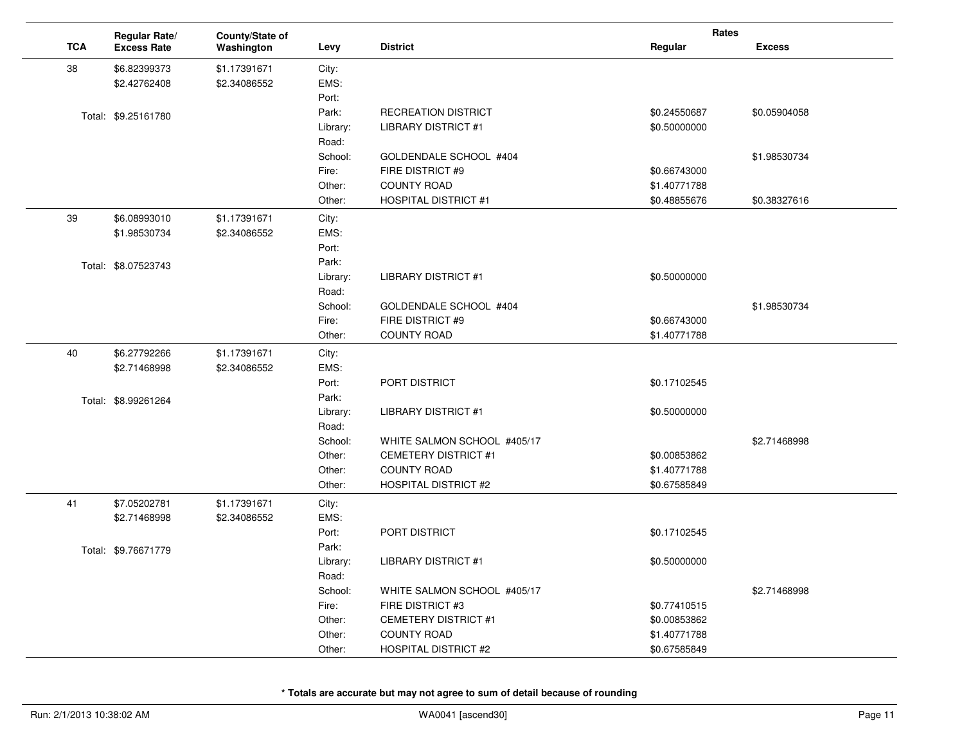|            | Regular Rate/       | County/State of |          |                             | Rates        |               |
|------------|---------------------|-----------------|----------|-----------------------------|--------------|---------------|
| <b>TCA</b> | <b>Excess Rate</b>  | Washington      | Levy     | <b>District</b>             | Regular      | <b>Excess</b> |
| 38         | \$6.82399373        | \$1.17391671    | City:    |                             |              |               |
|            | \$2.42762408        | \$2.34086552    | EMS:     |                             |              |               |
|            |                     |                 | Port:    |                             |              |               |
|            | Total: \$9.25161780 |                 | Park:    | <b>RECREATION DISTRICT</b>  | \$0.24550687 | \$0.05904058  |
|            |                     |                 | Library: | <b>LIBRARY DISTRICT #1</b>  | \$0.50000000 |               |
|            |                     |                 | Road:    |                             |              |               |
|            |                     |                 | School:  | GOLDENDALE SCHOOL #404      |              | \$1.98530734  |
|            |                     |                 | Fire:    | FIRE DISTRICT #9            | \$0.66743000 |               |
|            |                     |                 | Other:   | <b>COUNTY ROAD</b>          | \$1.40771788 |               |
|            |                     |                 | Other:   | <b>HOSPITAL DISTRICT #1</b> | \$0.48855676 | \$0.38327616  |
| 39         | \$6.08993010        | \$1.17391671    | City:    |                             |              |               |
|            | \$1.98530734        | \$2.34086552    | EMS:     |                             |              |               |
|            |                     |                 | Port:    |                             |              |               |
|            | Total: \$8.07523743 |                 | Park:    |                             |              |               |
|            |                     |                 | Library: | <b>LIBRARY DISTRICT #1</b>  | \$0.50000000 |               |
|            |                     |                 | Road:    |                             |              |               |
|            |                     |                 | School:  | GOLDENDALE SCHOOL #404      |              | \$1.98530734  |
|            |                     |                 | Fire:    | FIRE DISTRICT #9            | \$0.66743000 |               |
|            |                     |                 | Other:   | <b>COUNTY ROAD</b>          | \$1.40771788 |               |
| 40         | \$6.27792266        | \$1.17391671    | City:    |                             |              |               |
|            | \$2.71468998        | \$2.34086552    | EMS:     |                             |              |               |
|            |                     |                 | Port:    | PORT DISTRICT               | \$0.17102545 |               |
|            | Total: \$8.99261264 |                 | Park:    |                             |              |               |
|            |                     |                 | Library: | <b>LIBRARY DISTRICT #1</b>  | \$0.50000000 |               |
|            |                     |                 | Road:    |                             |              |               |
|            |                     |                 | School:  | WHITE SALMON SCHOOL #405/17 |              | \$2.71468998  |
|            |                     |                 | Other:   | <b>CEMETERY DISTRICT #1</b> | \$0.00853862 |               |
|            |                     |                 | Other:   | <b>COUNTY ROAD</b>          | \$1.40771788 |               |
|            |                     |                 | Other:   | <b>HOSPITAL DISTRICT #2</b> | \$0.67585849 |               |
| 41         | \$7.05202781        | \$1.17391671    | City:    |                             |              |               |
|            | \$2.71468998        | \$2.34086552    | EMS:     |                             |              |               |
|            |                     |                 | Port:    | PORT DISTRICT               | \$0.17102545 |               |
|            | Total: \$9.76671779 |                 | Park:    |                             |              |               |
|            |                     |                 | Library: | <b>LIBRARY DISTRICT #1</b>  | \$0.50000000 |               |
|            |                     |                 | Road:    |                             |              |               |
|            |                     |                 | School:  | WHITE SALMON SCHOOL #405/17 |              | \$2.71468998  |
|            |                     |                 | Fire:    | FIRE DISTRICT #3            | \$0.77410515 |               |
|            |                     |                 | Other:   | <b>CEMETERY DISTRICT #1</b> | \$0.00853862 |               |
|            |                     |                 | Other:   | <b>COUNTY ROAD</b>          | \$1.40771788 |               |
|            |                     |                 | Other:   | <b>HOSPITAL DISTRICT #2</b> | \$0.67585849 |               |

 $\sim$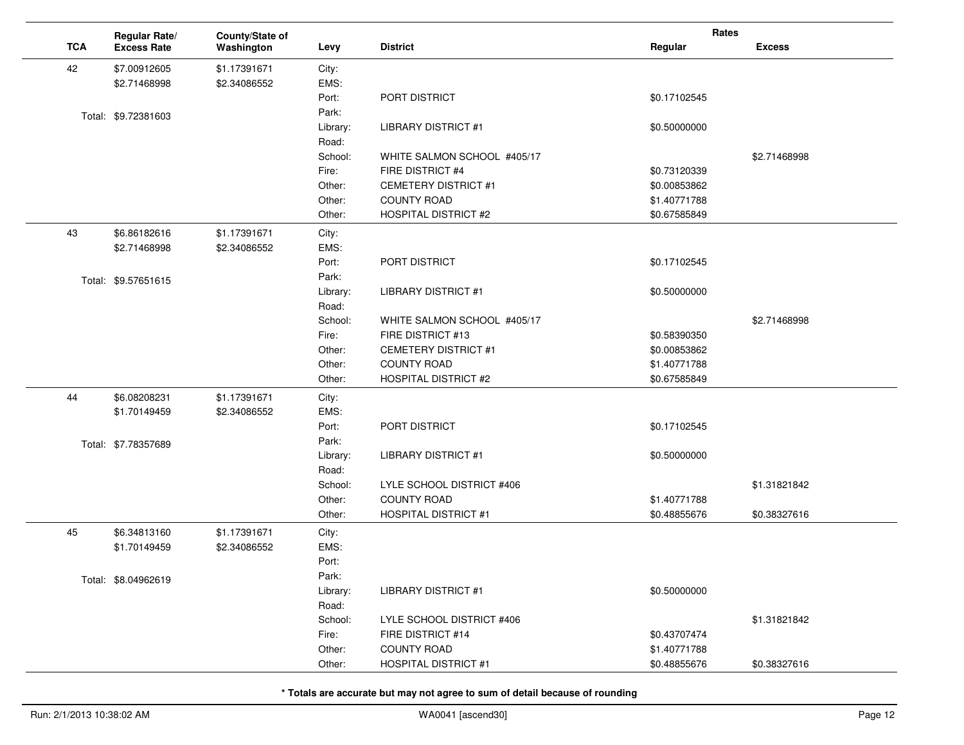|            | Regular Rate/       | County/State of |          |                             | Rates        |               |
|------------|---------------------|-----------------|----------|-----------------------------|--------------|---------------|
| <b>TCA</b> | <b>Excess Rate</b>  | Washington      | Levy     | <b>District</b>             | Regular      | <b>Excess</b> |
| 42         | \$7.00912605        | \$1.17391671    | City:    |                             |              |               |
|            | \$2.71468998        | \$2.34086552    | EMS:     |                             |              |               |
|            |                     |                 | Port:    | PORT DISTRICT               | \$0.17102545 |               |
|            | Total: \$9.72381603 |                 | Park:    |                             |              |               |
|            |                     |                 | Library: | <b>LIBRARY DISTRICT #1</b>  | \$0.50000000 |               |
|            |                     |                 | Road:    |                             |              |               |
|            |                     |                 | School:  | WHITE SALMON SCHOOL #405/17 |              | \$2.71468998  |
|            |                     |                 | Fire:    | FIRE DISTRICT #4            | \$0.73120339 |               |
|            |                     |                 | Other:   | <b>CEMETERY DISTRICT #1</b> | \$0.00853862 |               |
|            |                     |                 | Other:   | <b>COUNTY ROAD</b>          | \$1.40771788 |               |
|            |                     |                 | Other:   | <b>HOSPITAL DISTRICT #2</b> | \$0.67585849 |               |
| 43         | \$6.86182616        | \$1.17391671    | City:    |                             |              |               |
|            | \$2.71468998        | \$2.34086552    | EMS:     |                             |              |               |
|            |                     |                 | Port:    | PORT DISTRICT               | \$0.17102545 |               |
|            | Total: \$9.57651615 |                 | Park:    |                             |              |               |
|            |                     |                 | Library: | <b>LIBRARY DISTRICT #1</b>  | \$0.50000000 |               |
|            |                     |                 | Road:    |                             |              |               |
|            |                     |                 | School:  | WHITE SALMON SCHOOL #405/17 |              | \$2.71468998  |
|            |                     |                 | Fire:    | FIRE DISTRICT #13           | \$0.58390350 |               |
|            |                     |                 | Other:   | <b>CEMETERY DISTRICT #1</b> | \$0.00853862 |               |
|            |                     |                 | Other:   | <b>COUNTY ROAD</b>          | \$1.40771788 |               |
|            |                     |                 | Other:   | <b>HOSPITAL DISTRICT #2</b> | \$0.67585849 |               |
| 44         | \$6.08208231        | \$1.17391671    | City:    |                             |              |               |
|            | \$1.70149459        | \$2.34086552    | EMS:     |                             |              |               |
|            |                     |                 | Port:    | PORT DISTRICT               | \$0.17102545 |               |
|            | Total: \$7.78357689 |                 | Park:    |                             |              |               |
|            |                     |                 | Library: | <b>LIBRARY DISTRICT #1</b>  | \$0.50000000 |               |
|            |                     |                 | Road:    |                             |              |               |
|            |                     |                 | School:  | LYLE SCHOOL DISTRICT #406   |              | \$1.31821842  |
|            |                     |                 | Other:   | <b>COUNTY ROAD</b>          | \$1.40771788 |               |
|            |                     |                 | Other:   | <b>HOSPITAL DISTRICT #1</b> | \$0.48855676 | \$0.38327616  |
| 45         | \$6.34813160        | \$1.17391671    | City:    |                             |              |               |
|            | \$1.70149459        | \$2.34086552    | EMS:     |                             |              |               |
|            |                     |                 | Port:    |                             |              |               |
|            | Total: \$8.04962619 |                 | Park:    |                             |              |               |
|            |                     |                 | Library: | <b>LIBRARY DISTRICT #1</b>  | \$0.50000000 |               |
|            |                     |                 | Road:    |                             |              |               |
|            |                     |                 | School:  | LYLE SCHOOL DISTRICT #406   |              | \$1.31821842  |
|            |                     |                 | Fire:    | FIRE DISTRICT #14           | \$0.43707474 |               |
|            |                     |                 | Other:   | <b>COUNTY ROAD</b>          | \$1.40771788 |               |
|            |                     |                 | Other:   | <b>HOSPITAL DISTRICT #1</b> | \$0.48855676 | \$0.38327616  |

 $\sim$ 

 $\overline{a}$ 

 $\overline{\phantom{a}}$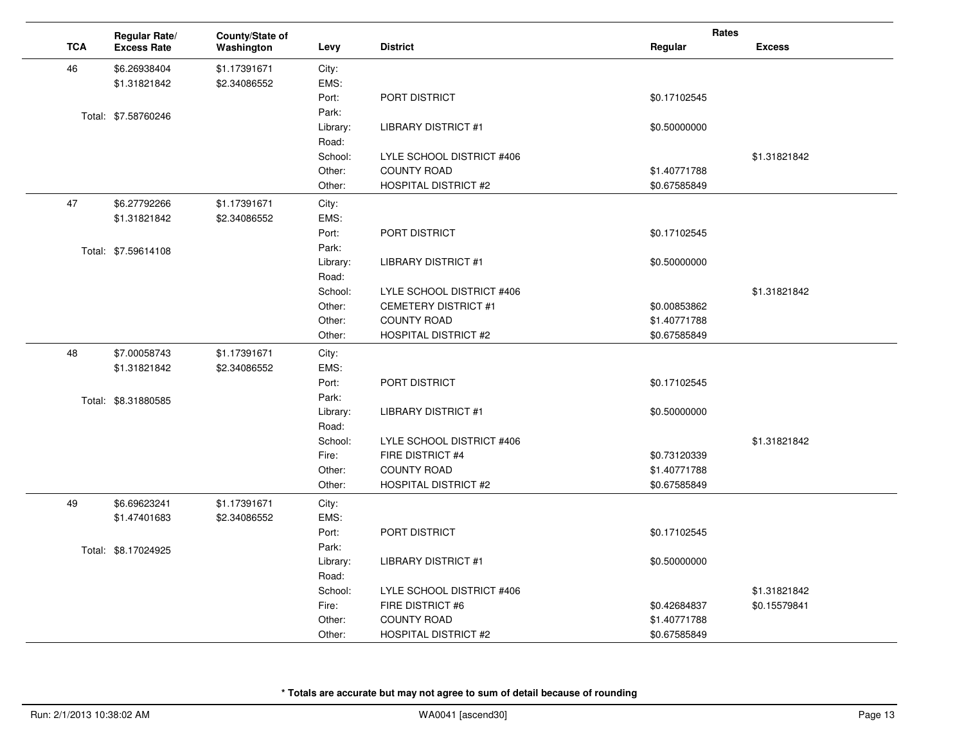|            | Regular Rate/       | County/State of |          |                             | Rates        |               |
|------------|---------------------|-----------------|----------|-----------------------------|--------------|---------------|
| <b>TCA</b> | <b>Excess Rate</b>  | Washington      | Levy     | <b>District</b>             | Regular      | <b>Excess</b> |
| 46         | \$6.26938404        | \$1.17391671    | City:    |                             |              |               |
|            | \$1.31821842        | \$2.34086552    | EMS:     |                             |              |               |
|            |                     |                 | Port:    | PORT DISTRICT               | \$0.17102545 |               |
|            | Total: \$7.58760246 |                 | Park:    |                             |              |               |
|            |                     |                 | Library: | <b>LIBRARY DISTRICT #1</b>  | \$0.50000000 |               |
|            |                     |                 | Road:    |                             |              |               |
|            |                     |                 | School:  | LYLE SCHOOL DISTRICT #406   |              | \$1.31821842  |
|            |                     |                 | Other:   | <b>COUNTY ROAD</b>          | \$1.40771788 |               |
|            |                     |                 | Other:   | <b>HOSPITAL DISTRICT #2</b> | \$0.67585849 |               |
| 47         | \$6.27792266        | \$1.17391671    | City:    |                             |              |               |
|            | \$1.31821842        | \$2.34086552    | EMS:     |                             |              |               |
|            |                     |                 | Port:    | PORT DISTRICT               | \$0.17102545 |               |
|            | Total: \$7.59614108 |                 | Park:    |                             |              |               |
|            |                     |                 | Library: | <b>LIBRARY DISTRICT #1</b>  | \$0.50000000 |               |
|            |                     |                 | Road:    |                             |              |               |
|            |                     |                 | School:  | LYLE SCHOOL DISTRICT #406   |              | \$1.31821842  |
|            |                     |                 | Other:   | <b>CEMETERY DISTRICT #1</b> | \$0.00853862 |               |
|            |                     |                 | Other:   | <b>COUNTY ROAD</b>          | \$1.40771788 |               |
|            |                     |                 | Other:   | <b>HOSPITAL DISTRICT #2</b> | \$0.67585849 |               |
| 48         | \$7.00058743        | \$1.17391671    | City:    |                             |              |               |
|            | \$1.31821842        | \$2.34086552    | EMS:     |                             |              |               |
|            |                     |                 | Port:    | PORT DISTRICT               | \$0.17102545 |               |
|            | Total: \$8.31880585 |                 | Park:    |                             |              |               |
|            |                     |                 | Library: | <b>LIBRARY DISTRICT #1</b>  | \$0.50000000 |               |
|            |                     |                 | Road:    |                             |              |               |
|            |                     |                 | School:  | LYLE SCHOOL DISTRICT #406   |              | \$1.31821842  |
|            |                     |                 | Fire:    | FIRE DISTRICT #4            | \$0.73120339 |               |
|            |                     |                 | Other:   | <b>COUNTY ROAD</b>          | \$1.40771788 |               |
|            |                     |                 | Other:   | <b>HOSPITAL DISTRICT #2</b> | \$0.67585849 |               |
| 49         | \$6.69623241        | \$1.17391671    | City:    |                             |              |               |
|            | \$1.47401683        | \$2.34086552    | EMS:     |                             |              |               |
|            |                     |                 | Port:    | PORT DISTRICT               | \$0.17102545 |               |
|            | Total: \$8.17024925 |                 | Park:    |                             |              |               |
|            |                     |                 | Library: | <b>LIBRARY DISTRICT #1</b>  | \$0.50000000 |               |
|            |                     |                 | Road:    |                             |              |               |
|            |                     |                 | School:  | LYLE SCHOOL DISTRICT #406   |              | \$1.31821842  |
|            |                     |                 | Fire:    | FIRE DISTRICT #6            | \$0.42684837 | \$0.15579841  |
|            |                     |                 | Other:   | <b>COUNTY ROAD</b>          | \$1.40771788 |               |
|            |                     |                 | Other:   | <b>HOSPITAL DISTRICT #2</b> | \$0.67585849 |               |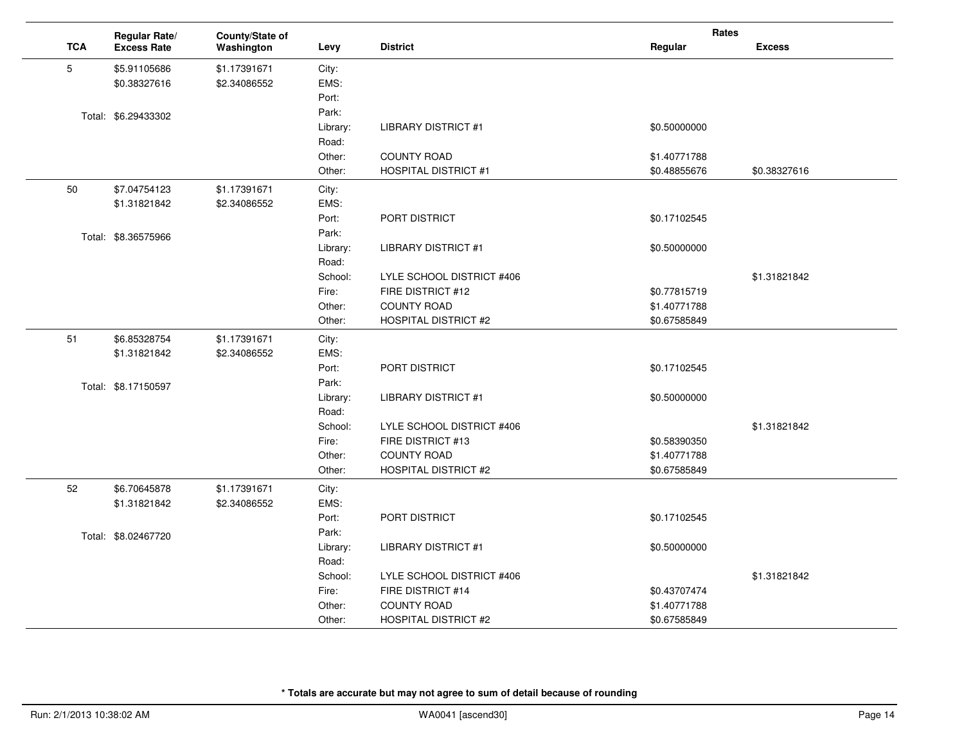|            | Regular Rate/       | County/State of |          |                             | Rates        |               |  |
|------------|---------------------|-----------------|----------|-----------------------------|--------------|---------------|--|
| <b>TCA</b> | <b>Excess Rate</b>  | Washington      | Levy     | <b>District</b>             | Regular      | <b>Excess</b> |  |
| 5          | \$5.91105686        | \$1.17391671    | City:    |                             |              |               |  |
|            | \$0.38327616        | \$2.34086552    | EMS:     |                             |              |               |  |
|            |                     |                 | Port:    |                             |              |               |  |
|            | Total: \$6.29433302 |                 | Park:    |                             |              |               |  |
|            |                     |                 | Library: | <b>LIBRARY DISTRICT #1</b>  | \$0.50000000 |               |  |
|            |                     |                 | Road:    |                             |              |               |  |
|            |                     |                 | Other:   | <b>COUNTY ROAD</b>          | \$1.40771788 |               |  |
|            |                     |                 | Other:   | <b>HOSPITAL DISTRICT #1</b> | \$0.48855676 | \$0.38327616  |  |
| 50         | \$7.04754123        | \$1.17391671    | City:    |                             |              |               |  |
|            | \$1.31821842        | \$2.34086552    | EMS:     |                             |              |               |  |
|            |                     |                 | Port:    | PORT DISTRICT               | \$0.17102545 |               |  |
|            | Total: \$8.36575966 |                 | Park:    |                             |              |               |  |
|            |                     |                 | Library: | <b>LIBRARY DISTRICT #1</b>  | \$0.50000000 |               |  |
|            |                     |                 | Road:    |                             |              |               |  |
|            |                     |                 | School:  | LYLE SCHOOL DISTRICT #406   |              | \$1.31821842  |  |
|            |                     |                 | Fire:    | FIRE DISTRICT #12           | \$0.77815719 |               |  |
|            |                     |                 | Other:   | <b>COUNTY ROAD</b>          | \$1.40771788 |               |  |
|            |                     |                 | Other:   | <b>HOSPITAL DISTRICT #2</b> | \$0.67585849 |               |  |
| 51         | \$6.85328754        | \$1.17391671    | City:    |                             |              |               |  |
|            | \$1.31821842        | \$2.34086552    | EMS:     |                             |              |               |  |
|            |                     |                 | Port:    | PORT DISTRICT               | \$0.17102545 |               |  |
|            | Total: \$8.17150597 |                 | Park:    |                             |              |               |  |
|            |                     |                 | Library: | <b>LIBRARY DISTRICT #1</b>  | \$0.50000000 |               |  |
|            |                     |                 | Road:    |                             |              |               |  |
|            |                     |                 | School:  | LYLE SCHOOL DISTRICT #406   |              | \$1.31821842  |  |
|            |                     |                 | Fire:    | FIRE DISTRICT #13           | \$0.58390350 |               |  |
|            |                     |                 | Other:   | <b>COUNTY ROAD</b>          | \$1.40771788 |               |  |
|            |                     |                 | Other:   | <b>HOSPITAL DISTRICT #2</b> | \$0.67585849 |               |  |
| 52         | \$6.70645878        | \$1.17391671    | City:    |                             |              |               |  |
|            | \$1.31821842        | \$2.34086552    | EMS:     |                             |              |               |  |
|            |                     |                 | Port:    | PORT DISTRICT               | \$0.17102545 |               |  |
|            | Total: \$8.02467720 |                 | Park:    |                             |              |               |  |
|            |                     |                 | Library: | <b>LIBRARY DISTRICT #1</b>  | \$0.50000000 |               |  |
|            |                     |                 | Road:    |                             |              |               |  |
|            |                     |                 | School:  | LYLE SCHOOL DISTRICT #406   |              | \$1.31821842  |  |
|            |                     |                 | Fire:    | FIRE DISTRICT #14           | \$0.43707474 |               |  |
|            |                     |                 | Other:   | <b>COUNTY ROAD</b>          | \$1.40771788 |               |  |
|            |                     |                 | Other:   | <b>HOSPITAL DISTRICT #2</b> | \$0.67585849 |               |  |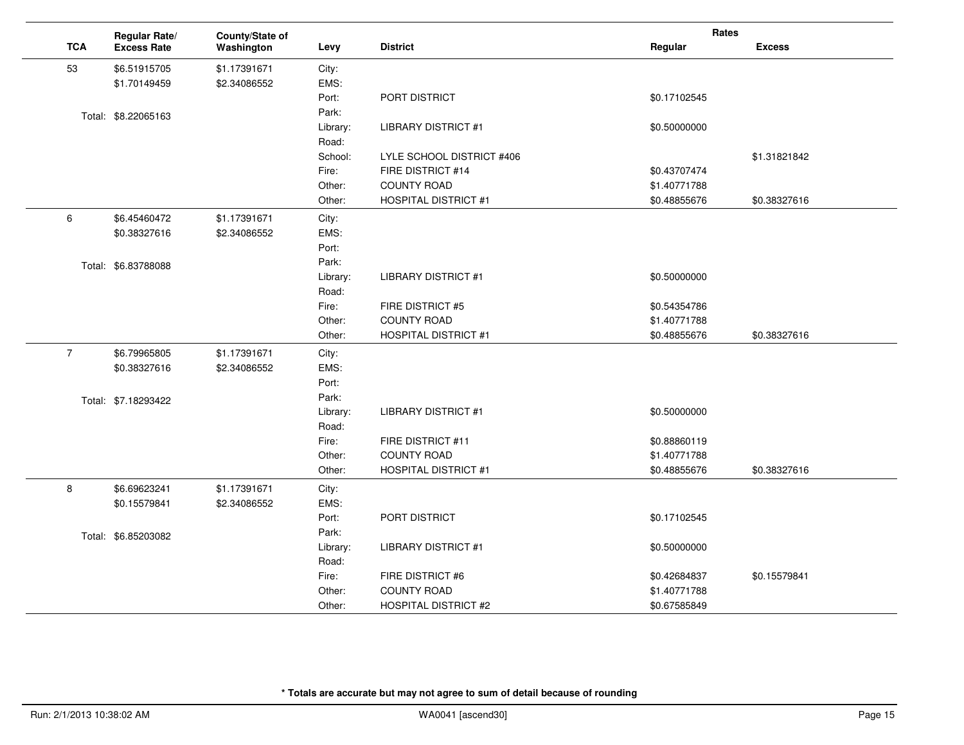|                |            | Regular Rate/       | County/State of |          |                             | Rates        |               |
|----------------|------------|---------------------|-----------------|----------|-----------------------------|--------------|---------------|
|                | <b>TCA</b> | <b>Excess Rate</b>  | Washington      | Levy     | <b>District</b>             | Regular      | <b>Excess</b> |
|                | 53         | \$6.51915705        | \$1.17391671    | City:    |                             |              |               |
|                |            | \$1.70149459        | \$2.34086552    | EMS:     |                             |              |               |
|                |            |                     |                 | Port:    | PORT DISTRICT               | \$0.17102545 |               |
|                |            | Total: \$8.22065163 |                 | Park:    |                             |              |               |
|                |            |                     |                 | Library: | <b>LIBRARY DISTRICT #1</b>  | \$0.50000000 |               |
|                |            |                     |                 | Road:    |                             |              |               |
|                |            |                     |                 | School:  | LYLE SCHOOL DISTRICT #406   |              | \$1.31821842  |
|                |            |                     |                 | Fire:    | FIRE DISTRICT #14           | \$0.43707474 |               |
|                |            |                     |                 | Other:   | <b>COUNTY ROAD</b>          | \$1.40771788 |               |
|                |            |                     |                 | Other:   | <b>HOSPITAL DISTRICT #1</b> | \$0.48855676 | \$0.38327616  |
| 6              |            | \$6.45460472        | \$1.17391671    | City:    |                             |              |               |
|                |            | \$0.38327616        | \$2.34086552    | EMS:     |                             |              |               |
|                |            |                     |                 | Port:    |                             |              |               |
|                |            | Total: \$6.83788088 |                 | Park:    |                             |              |               |
|                |            |                     |                 | Library: | <b>LIBRARY DISTRICT #1</b>  | \$0.50000000 |               |
|                |            |                     |                 | Road:    |                             |              |               |
|                |            |                     |                 | Fire:    | FIRE DISTRICT #5            | \$0.54354786 |               |
|                |            |                     |                 | Other:   | <b>COUNTY ROAD</b>          | \$1.40771788 |               |
|                |            |                     |                 | Other:   | <b>HOSPITAL DISTRICT #1</b> | \$0.48855676 | \$0.38327616  |
| $\overline{7}$ |            | \$6.79965805        | \$1.17391671    | City:    |                             |              |               |
|                |            | \$0.38327616        | \$2.34086552    | EMS:     |                             |              |               |
|                |            |                     |                 | Port:    |                             |              |               |
|                |            | Total: \$7.18293422 |                 | Park:    |                             |              |               |
|                |            |                     |                 | Library: | <b>LIBRARY DISTRICT #1</b>  | \$0.50000000 |               |
|                |            |                     |                 | Road:    |                             |              |               |
|                |            |                     |                 | Fire:    | FIRE DISTRICT #11           | \$0.88860119 |               |
|                |            |                     |                 | Other:   | <b>COUNTY ROAD</b>          | \$1.40771788 |               |
|                |            |                     |                 | Other:   | <b>HOSPITAL DISTRICT #1</b> | \$0.48855676 | \$0.38327616  |
| 8              |            | \$6.69623241        | \$1.17391671    | City:    |                             |              |               |
|                |            | \$0.15579841        | \$2.34086552    | EMS:     |                             |              |               |
|                |            |                     |                 | Port:    | PORT DISTRICT               | \$0.17102545 |               |
|                |            | Total: \$6.85203082 |                 | Park:    |                             |              |               |
|                |            |                     |                 | Library: | <b>LIBRARY DISTRICT #1</b>  | \$0.50000000 |               |
|                |            |                     |                 | Road:    |                             |              |               |
|                |            |                     |                 | Fire:    | FIRE DISTRICT #6            | \$0.42684837 | \$0.15579841  |
|                |            |                     |                 | Other:   | <b>COUNTY ROAD</b>          | \$1.40771788 |               |
|                |            |                     |                 | Other:   | <b>HOSPITAL DISTRICT #2</b> | \$0.67585849 |               |

 $\sim$ 

 $\mathbf{r}$